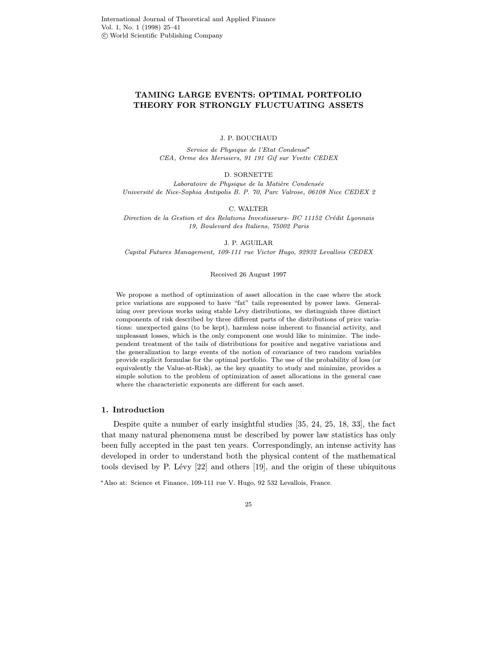# TAMING LARGE EVENTS: OPTIMAL PORTFOLIO THEORY FOR STRONGLY FLUCTUATING ASSETS

J. P. BOUCHAUD

Service de Physique de l'Etat Condensé<sup>\*</sup> CEA, Orme des Merisiers, 91 191 Gif sur Yvette CEDEX

D. SORNETTE

 ${\it Laboratoire\ de\ Physique\ de\ la\ Matière\ Condense}$ Universit´e de Nice-Sophia Antipolis B. P. 70, Parc Valrose, 06108 Nice CEDEX 2

C. WALTER

Direction de la Gestion et des Relations Investisseurs- BC 11152 Crédit Lyonnais 19, Boulevard des Italiens, 75002 Paris

J. P. AGUILAR

Capital Futures Management, 109-111 rue Victor Hugo, 92932 Levallois CEDEX

#### Received 26 August 1997

We propose a method of optimization of asset allocation in the case where the stock price variations are supposed to have "fat" tails represented by power laws. Generalizing over previous works using stable Lévy distributions, we distinguish three distinct components of risk described by three different parts of the distributions of price variations: unexpected gains (to be kept), harmless noise inherent to financial activity, and unpleasant losses, which is the only component one would like to minimize. The independent treatment of the tails of distributions for positive and negative variations and the generalization to large events of the notion of covariance of two random variables provide explicit formulae for the optimal portfolio. The use of the probability of loss (or equivalently the Value-at-Risk), as the key quantity to study and minimize, provides a simple solution to the problem of optimization of asset allocations in the general case where the characteristic exponents are different for each asset.

# 1. Introduction

Despite quite a number of early insightful studies [35, 24, 25, 18, 33], the fact that many natural phenomena must be described by power law statistics has only been fully accepted in the past ten years. Correspondingly, an intense activity has developed in order to understand both the physical content of the mathematical tools devised by P. Lévy  $[22]$  and others  $[19]$ , and the origin of these ubiquitous

<sup>∗</sup>Also at: Science et Finance, 109-111 rue V. Hugo, 92 532 Levallois, France.

25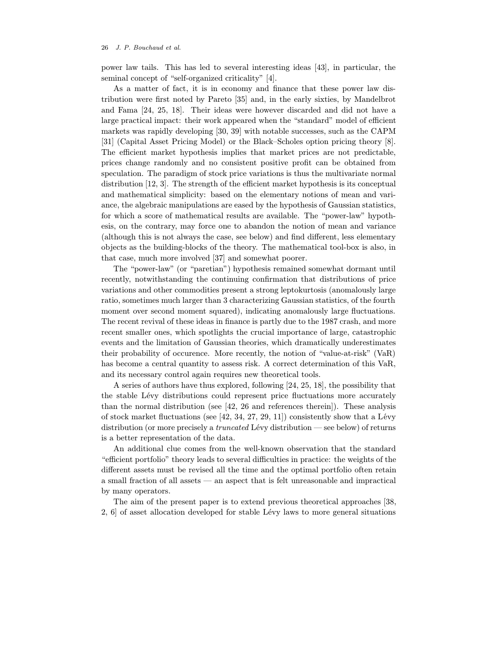power law tails. This has led to several interesting ideas [43], in particular, the seminal concept of "self-organized criticality" [4].

As a matter of fact, it is in economy and finance that these power law distribution were first noted by Pareto [35] and, in the early sixties, by Mandelbrot and Fama [24, 25, 18]. Their ideas were however discarded and did not have a large practical impact: their work appeared when the "standard" model of efficient markets was rapidly developing [30, 39] with notable successes, such as the CAPM [31] (Capital Asset Pricing Model) or the Black–Scholes option pricing theory [8]. The efficient market hypothesis implies that market prices are not predictable, prices change randomly and no consistent positive profit can be obtained from speculation. The paradigm of stock price variations is thus the multivariate normal distribution [12, 3]. The strength of the efficient market hypothesis is its conceptual and mathematical simplicity: based on the elementary notions of mean and variance, the algebraic manipulations are eased by the hypothesis of Gaussian statistics, for which a score of mathematical results are available. The "power-law" hypothesis, on the contrary, may force one to abandon the notion of mean and variance (although this is not always the case, see below) and find different, less elementary objects as the building-blocks of the theory. The mathematical tool-box is also, in that case, much more involved [37] and somewhat poorer.

The "power-law" (or "paretian") hypothesis remained somewhat dormant until recently, notwithstanding the continuing confirmation that distributions of price variations and other commodities present a strong leptokurtosis (anomalously large ratio, sometimes much larger than 3 characterizing Gaussian statistics, of the fourth moment over second moment squared), indicating anomalously large fluctuations. The recent revival of these ideas in finance is partly due to the 1987 crash, and more recent smaller ones, which spotlights the crucial importance of large, catastrophic events and the limitation of Gaussian theories, which dramatically underestimates their probability of occurence. More recently, the notion of "value-at-risk" (VaR) has become a central quantity to assess risk. A correct determination of this VaR, and its necessary control again requires new theoretical tools.

A series of authors have thus explored, following [24, 25, 18], the possibility that the stable Lévy distributions could represent price fluctuations more accurately than the normal distribution (see [42, 26 and references therein]). These analysis of stock market fluctuations (see  $[42, 34, 27, 29, 11]$ ) consistently show that a Lévy distribution (or more precisely a *truncated* Lévy distribution — see below) of returns is a better representation of the data.

An additional clue comes from the well-known observation that the standard "efficient portfolio" theory leads to several difficulties in practice: the weights of the different assets must be revised all the time and the optimal portfolio often retain a small fraction of all assets — an aspect that is felt unreasonable and impractical by many operators.

The aim of the present paper is to extend previous theoretical approaches [38, 2, 6 of asset allocation developed for stable Lévy laws to more general situations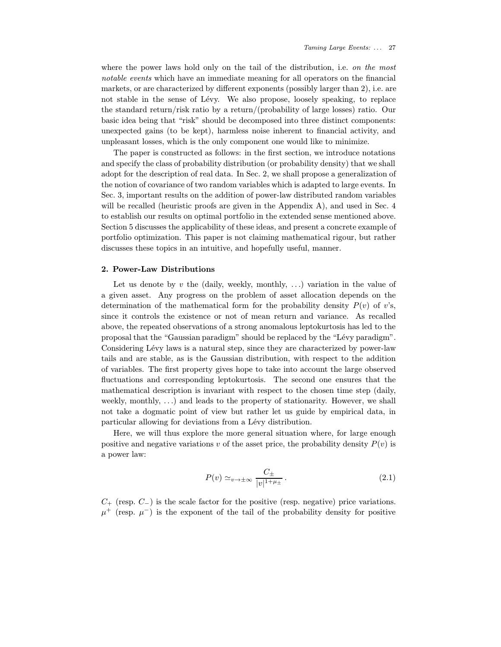where the power laws hold only on the tail of the distribution, i.e. on the most notable events which have an immediate meaning for all operators on the financial markets, or are characterized by different exponents (possibly larger than 2), i.e. are not stable in the sense of Lévy. We also propose, loosely speaking, to replace the standard return/risk ratio by a return/(probability of large losses) ratio. Our basic idea being that "risk" should be decomposed into three distinct components: unexpected gains (to be kept), harmless noise inherent to financial activity, and unpleasant losses, which is the only component one would like to minimize.

The paper is constructed as follows: in the first section, we introduce notations and specify the class of probability distribution (or probability density) that we shall adopt for the description of real data. In Sec. 2, we shall propose a generalization of the notion of covariance of two random variables which is adapted to large events. In Sec. 3, important results on the addition of power-law distributed random variables will be recalled (heuristic proofs are given in the Appendix A), and used in Sec. 4 to establish our results on optimal portfolio in the extended sense mentioned above. Section 5 discusses the applicability of these ideas, and present a concrete example of portfolio optimization. This paper is not claiming mathematical rigour, but rather discusses these topics in an intuitive, and hopefully useful, manner.

## 2. Power-Law Distributions

Let us denote by v the (daily, weekly, monthly, ...) variation in the value of a given asset. Any progress on the problem of asset allocation depends on the determination of the mathematical form for the probability density  $P(v)$  of v's, since it controls the existence or not of mean return and variance. As recalled above, the repeated observations of a strong anomalous leptokurtosis has led to the proposal that the "Gaussian paradigm" should be replaced by the "Lévy paradigm". Considering Lévy laws is a natural step, since they are characterized by power-law tails and are stable, as is the Gaussian distribution, with respect to the addition of variables. The first property gives hope to take into account the large observed fluctuations and corresponding leptokurtosis. The second one ensures that the mathematical description is invariant with respect to the chosen time step (daily, weekly, monthly, ...) and leads to the property of stationarity. However, we shall not take a dogmatic point of view but rather let us guide by empirical data, in particular allowing for deviations from a Lévy distribution.

Here, we will thus explore the more general situation where, for large enough positive and negative variations v of the asset price, the probability density  $P(v)$  is a power law:

$$
P(v) \simeq_{v \to \pm \infty} \frac{C_{\pm}}{|v|^{1+\mu_{\pm}}}.
$$
\n(2.1)

 $C_{+}$  (resp.  $C_{-}$ ) is the scale factor for the positive (resp. negative) price variations.  $\mu^+$  (resp.  $\mu^-$ ) is the exponent of the tail of the probability density for positive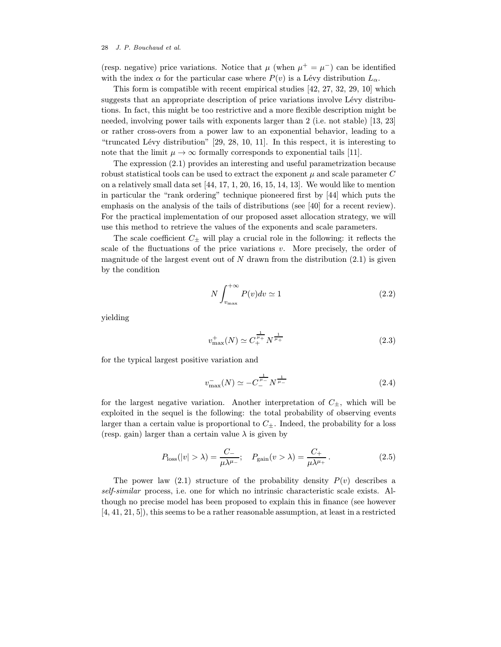(resp. negative) price variations. Notice that  $\mu$  (when  $\mu^+ = \mu^-$ ) can be identified with the index  $\alpha$  for the particular case where  $P(v)$  is a Lévy distribution  $L_{\alpha}$ .

This form is compatible with recent empirical studies [42, 27, 32, 29, 10] which suggests that an appropriate description of price variations involve Lévy distributions. In fact, this might be too restrictive and a more flexible description might be needed, involving power tails with exponents larger than 2 (i.e. not stable) [13, 23] or rather cross-overs from a power law to an exponential behavior, leading to a "truncated Lévy distribution"  $[29, 28, 10, 11]$ . In this respect, it is interesting to note that the limit  $\mu \to \infty$  formally corresponds to exponential tails [11].

The expression (2.1) provides an interesting and useful parametrization because robust statistical tools can be used to extract the exponent  $\mu$  and scale parameter  $C$ on a relatively small data set [44, 17, 1, 20, 16, 15, 14, 13]. We would like to mention in particular the "rank ordering" technique pioneered first by [44] which puts the emphasis on the analysis of the tails of distributions (see [40] for a recent review). For the practical implementation of our proposed asset allocation strategy, we will use this method to retrieve the values of the exponents and scale parameters.

The scale coefficient  $C_{\pm}$  will play a crucial role in the following: it reflects the scale of the fluctuations of the price variations  $v$ . More precisely, the order of magnitude of the largest event out of N drawn from the distribution  $(2.1)$  is given by the condition

$$
N \int_{v_{\text{max}}}^{+\infty} P(v)dv \simeq 1
$$
\n(2.2)

yielding

$$
v_{\text{max}}^+(N) \simeq C_+^{\frac{1}{\mu_+}} N^{\frac{1}{\mu_+}} \tag{2.3}
$$

for the typical largest positive variation and

$$
v_{\text{max}}^{-}(N) \simeq -C_{-}^{\frac{1}{\mu_{-}}} N^{\frac{1}{\mu_{-}}} \tag{2.4}
$$

for the largest negative variation. Another interpretation of  $C_{\pm}$ , which will be exploited in the sequel is the following: the total probability of observing events larger than a certain value is proportional to  $C_{\pm}$ . Indeed, the probability for a loss (resp. gain) larger than a certain value  $\lambda$  is given by

$$
P_{\text{loss}}(|v| > \lambda) = \frac{C_-}{\mu \lambda^{\mu_-}}; \quad P_{\text{gain}}(v > \lambda) = \frac{C_+}{\mu \lambda^{\mu_+}}.
$$
 (2.5)

The power law (2.1) structure of the probability density  $P(v)$  describes a self-similar process, i.e. one for which no intrinsic characteristic scale exists. Although no precise model has been proposed to explain this in finance (see however [4, 41, 21, 5]), this seems to be a rather reasonable assumption, at least in a restricted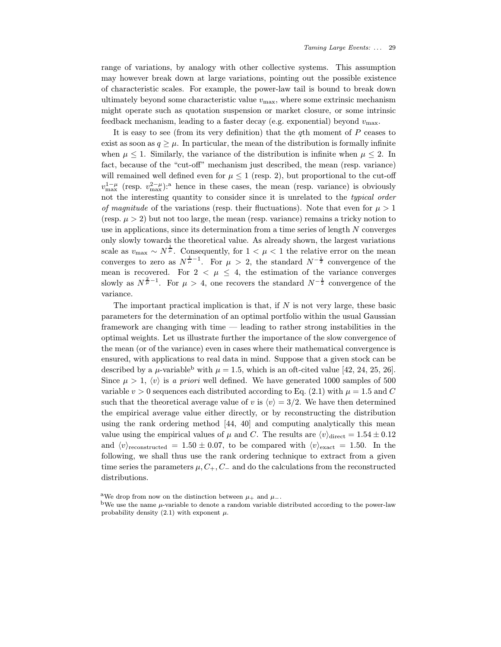range of variations, by analogy with other collective systems. This assumption may however break down at large variations, pointing out the possible existence of characteristic scales. For example, the power-law tail is bound to break down ultimately beyond some characteristic value  $v_{\text{max}}$ , where some extrinsic mechanism might operate such as quotation suspension or market closure, or some intrinsic feedback mechanism, leading to a faster decay (e.g. exponential) beyond  $v_{\text{max}}$ .

It is easy to see (from its very definition) that the  $q$ th moment of  $P$  ceases to exist as soon as  $q \geq \mu$ . In particular, the mean of the distribution is formally infinite when  $\mu \leq 1$ . Similarly, the variance of the distribution is infinite when  $\mu \leq 2$ . In fact, because of the "cut-off" mechanism just described, the mean (resp. variance) will remained well defined even for  $\mu \leq 1$  (resp. 2), but proportional to the cut-off  $v_{\text{max}}^{1-\mu}$  (resp.  $v_{\text{max}}^{2-\mu}$ ):<sup>a</sup> hence in these cases, the mean (resp. variance) is obviously not the interesting quantity to consider since it is unrelated to the typical order of magnitude of the variations (resp. their fluctuations). Note that even for  $\mu > 1$ (resp.  $\mu > 2$ ) but not too large, the mean (resp. variance) remains a tricky notion to use in applications, since its determination from a time series of length  $N$  converges only slowly towards the theoretical value. As already shown, the largest variations scale as  $v_{\text{max}} \sim N^{\frac{1}{\mu}}$ . Consequently, for  $1 < \mu < 1$  the relative error on the mean converges to zero as  $N^{\frac{1}{\mu}-1}$ . For  $\mu > 2$ , the standard  $N^{-\frac{1}{2}}$  convergence of the mean is recovered. For  $2 < \mu \leq 4$ , the estimation of the variance converges slowly as  $N^{\frac{2}{\mu}-1}$ . For  $\mu > 4$ , one recovers the standard  $N^{-\frac{1}{2}}$  convergence of the variance.

The important practical implication is that, if  $N$  is not very large, these basic parameters for the determination of an optimal portfolio within the usual Gaussian framework are changing with time — leading to rather strong instabilities in the optimal weights. Let us illustrate further the importance of the slow convergence of the mean (or of the variance) even in cases where their mathematical convergence is ensured, with applications to real data in mind. Suppose that a given stock can be described by a  $\mu$ -variable<sup>b</sup> with  $\mu = 1.5$ , which is an oft-cited value [42, 24, 25, 26]. Since  $\mu > 1$ ,  $\langle v \rangle$  is a priori well defined. We have generated 1000 samples of 500 variable  $v > 0$  sequences each distributed according to Eq. (2.1) with  $\mu = 1.5$  and C such that the theoretical average value of v is  $\langle v \rangle = 3/2$ . We have then determined the empirical average value either directly, or by reconstructing the distribution using the rank ordering method [44, 40] and computing analytically this mean value using the empirical values of  $\mu$  and C. The results are  $\langle v \rangle_{\text{direct}} = 1.54 \pm 0.12$ and  $\langle v \rangle_{\text{reconstructed}} = 1.50 \pm 0.07$ , to be compared with  $\langle v \rangle_{\text{exact}} = 1.50$ . In the following, we shall thus use the rank ordering technique to extract from a given time series the parameters  $\mu$ ,  $C_+$ ,  $C_-$  and do the calculations from the reconstructed distributions.

<sup>&</sup>lt;sup>a</sup>We drop from now on the distinction between  $\mu_+$  and  $\mu_-$ .<br><sup>b</sup>We use the name  $\mu$ -variable to denote a random variable distributed according to the power-law probability density  $(2.1)$  with exponent  $\mu$ .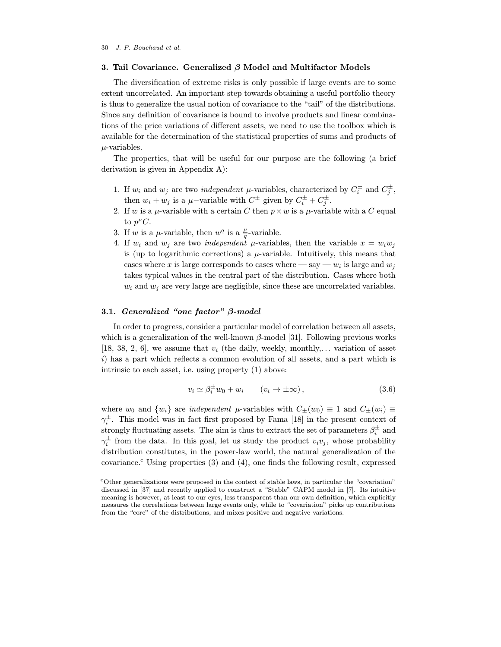## 3. Tail Covariance. Generalized  $\beta$  Model and Multifactor Models

The diversification of extreme risks is only possible if large events are to some extent uncorrelated. An important step towards obtaining a useful portfolio theory is thus to generalize the usual notion of covariance to the "tail" of the distributions. Since any definition of covariance is bound to involve products and linear combinations of the price variations of different assets, we need to use the toolbox which is available for the determination of the statistical properties of sums and products of  $\mu$ -variables.

The properties, that will be useful for our purpose are the following (a brief derivation is given in Appendix A):

- 1. If  $w_i$  and  $w_j$  are two *independent*  $\mu$ -variables, characterized by  $C_i^{\pm}$  and  $C_j^{\pm}$ , then  $w_i + w_j$  is a  $\mu$ -variable with  $C^{\pm}$  given by  $C_i^{\pm} + C_j^{\pm}$ .
- 2. If w is a  $\mu$ -variable with a certain C then  $p \times w$  is a  $\mu$ -variable with a C equal to  $p^{\mu}C$ .
- 3. If w is a  $\mu$ -variable, then  $w^q$  is a  $\frac{\mu}{q}$ -variable.
- 4. If  $w_i$  and  $w_j$  are two *independent*  $\mu$ -variables, then the variable  $x = w_i w_j$ is (up to logarithmic corrections) a  $\mu$ -variable. Intuitively, this means that cases where x is large corresponds to cases where  $-\text{say}-w_i$  is large and  $w_i$ takes typical values in the central part of the distribution. Cases where both  $w_i$  and  $w_j$  are very large are negligible, since these are uncorrelated variables.

## 3.1. Generalized "one factor" β-model

In order to progress, consider a particular model of correlation between all assets, which is a generalization of the well-known  $\beta$ -model [31]. Following previous works [18, 38, 2, 6], we assume that  $v_i$  (the daily, weekly, monthly,... variation of asset i) has a part which reflects a common evolution of all assets, and a part which is intrinsic to each asset, i.e. using property (1) above:

$$
v_i \simeq \beta_i^{\pm} w_0 + w_i \qquad (v_i \to \pm \infty), \qquad (3.6)
$$

where  $w_0$  and  $\{w_i\}$  are *independent*  $\mu$ -variables with  $C_{\pm}(w_0) \equiv 1$  and  $C_{\pm}(w_i) \equiv$  $\gamma_i^{\pm}$ . This model was in fact first proposed by Fama [18] in the present context of strongly fluctuating assets. The aim is thus to extract the set of parameters  $\beta_i^{\pm}$  and  $\gamma_i^{\pm}$  from the data. In this goal, let us study the product  $v_i v_j$ , whose probability distribution constitutes, in the power-law world, the natural generalization of the covariance.<sup>c</sup> Using properties  $(3)$  and  $(4)$ , one finds the following result, expressed

<sup>c</sup>Other generalizations were proposed in the context of stable laws, in particular the "covariation" discussed in [37] and recently applied to construct a "Stable" CAPM model in [7]. Its intuitive meaning is however, at least to our eyes, less transparent than our own definition, which explicitly measures the correlations between large events only, while to "covariation" picks up contributions from the "core" of the distributions, and mixes positive and negative variations.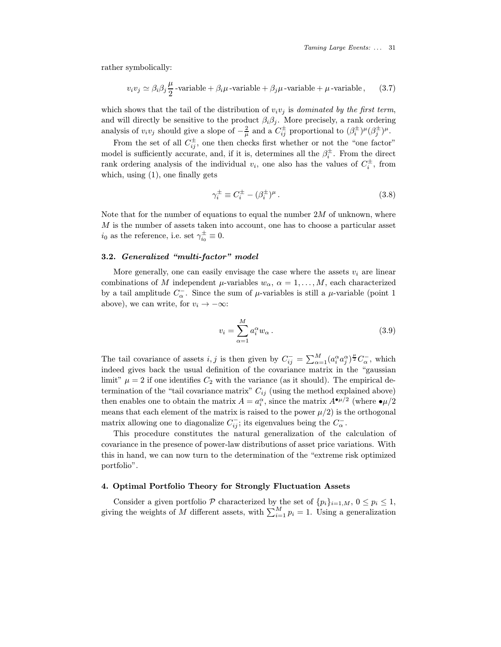Taming Large Events: ... 31

rather symbolically:

$$
v_i v_j \simeq \beta_i \beta_j \frac{\mu}{2} - \text{variable} + \beta_i \mu \cdot \text{variable} + \beta_j \mu \cdot \text{variable} + \mu \cdot \text{variable}, \qquad (3.7)
$$

which shows that the tail of the distribution of  $v_i v_j$  is dominated by the first term, and will directly be sensitive to the product  $\beta_i \beta_j$ . More precisely, a rank ordering analysis of  $v_i v_j$  should give a slope of  $-\frac{2}{\mu}$  and a  $C_{ij}^{\pm}$  proportional to  $(\beta_i^{\pm})^{\mu}(\beta_j^{\pm})^{\mu}$ .

From the set of all  $C_{ij}^{\pm}$ , one then checks first whether or not the "one factor" model is sufficiently accurate, and, if it is, determines all the  $\beta_i^{\pm}$ . From the direct rank ordering analysis of the individual  $v_i$ , one also has the values of  $C_i^{\pm}$ , from which, using (1), one finally gets

$$
\gamma_i^{\pm} \equiv C_i^{\pm} - (\beta_i^{\pm})^{\mu} \,. \tag{3.8}
$$

Note that for the number of equations to equal the number  $2M$  of unknown, where M is the number of assets taken into account, one has to choose a particular asset  $i_0$  as the reference, i.e. set  $\gamma_{i_0}^{\pm} \equiv 0$ .

## 3.2. Generalized "multi-factor" model

More generally, one can easily envisage the case where the assets  $v_i$  are linear combinations of M independent  $\mu$ -variables  $w_{\alpha}$ ,  $\alpha = 1, \ldots, M$ , each characterized by a tail amplitude  $C_{\alpha}^-$ . Since the sum of  $\mu$ -variables is still a  $\mu$ -variable (point 1 above), we can write, for  $v_i \rightarrow -\infty$ :

$$
v_i = \sum_{\alpha=1}^{M} a_i^{\alpha} w_{\alpha} . \tag{3.9}
$$

The tail covariance of assets  $i, j$  is then given by  $C_{ij}^- = \sum_{\alpha=1}^M (a_i^{\alpha} a_j^{\alpha})^{\frac{\mu}{2}} C_{\alpha}^-$ , which indeed gives back the usual definition of the covariance matrix in the "gaussian limit"  $\mu = 2$  if one identifies  $C_2$  with the variance (as it should). The empirical determination of the "tail covariance matrix"  $C_{ij}$  (using the method explained above) then enables one to obtain the matrix  $A = a_i^{\alpha}$ , since the matrix  $A^{\bullet \mu/2}$  (where  $\bullet \mu/2$ means that each element of the matrix is raised to the power  $\mu/2$ ) is the orthogonal matrix allowing one to diagonalize  $C_{ij}^-$ ; its eigenvalues being the  $C_{\alpha}^-$ .

This procedure constitutes the natural generalization of the calculation of covariance in the presence of power-law distributions of asset price variations. With this in hand, we can now turn to the determination of the "extreme risk optimized portfolio".

## 4. Optimal Portfolio Theory for Strongly Fluctuation Assets

Consider a given portfolio P characterized by the set of  $\{p_i\}_{i=1,M}$ ,  $0 \leq p_i \leq 1$ , giving the weights of M different assets, with  $\sum_{i=1}^{M} p_i = 1$ . Using a generalization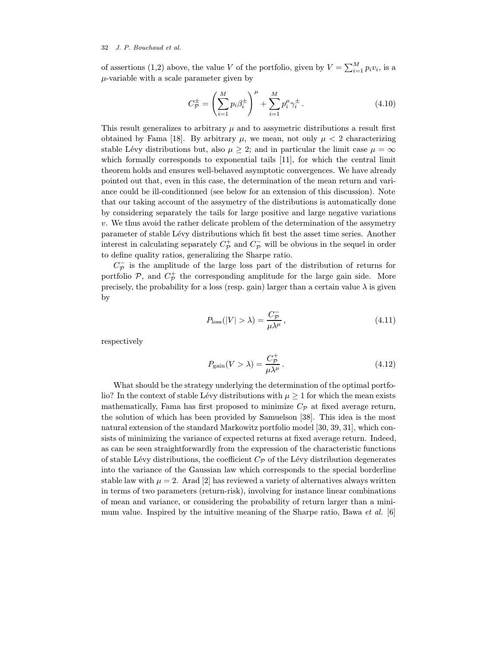of assertions (1,2) above, the value V of the portfolio, given by  $V = \sum_{i=1}^{M} p_i v_i$ , is a  $\mu$ -variable with a scale parameter given by

$$
C_{\mathcal{P}}^{\pm} = \left(\sum_{i=1}^{M} p_i \beta_i^{\pm}\right)^{\mu} + \sum_{i=1}^{M} p_i^{\mu} \gamma_i^{\pm}.
$$
 (4.10)

This result generalizes to arbitrary  $\mu$  and to assymetric distributions a result first obtained by Fama [18]. By arbitrary  $\mu$ , we mean, not only  $\mu < 2$  characterizing stable Lévy distributions but, also  $\mu \geq 2$ ; and in particular the limit case  $\mu = \infty$ which formally corresponds to exponential tails [11], for which the central limit theorem holds and ensures well-behaved asymptotic convergences. We have already pointed out that, even in this case, the determination of the mean return and variance could be ill-conditionned (see below for an extension of this discussion). Note that our taking account of the assymetry of the distributions is automatically done by considering separately the tails for large positive and large negative variations  $v.$  We thus avoid the rather delicate problem of the determination of the assymetry parameter of stable Lévy distributions which fit best the asset time series. Another interest in calculating separately  $C_{\mathcal{P}}^{+}$  and  $C_{\mathcal{P}}^{-}$  will be obvious in the sequel in order to define quality ratios, generalizing the Sharpe ratio.

 $C_{\cal P}^-$  is the amplitude of the large loss part of the distribution of returns for portfolio  $P$ , and  $C_P^+$  the corresponding amplitude for the large gain side. More precisely, the probability for a loss (resp. gain) larger than a certain value  $\lambda$  is given by

$$
P_{\text{loss}}(|V| > \lambda) = \frac{C_{\mathcal{P}}^{-}}{\mu \lambda^{\mu}},
$$
\n(4.11)

respectively

$$
P_{\text{gain}}(V > \lambda) = \frac{C_{\mathcal{P}}^+}{\mu \lambda^{\mu}}.
$$
\n(4.12)

What should be the strategy underlying the determination of the optimal portfolio? In the context of stable Lévy distributions with  $\mu \geq 1$  for which the mean exists mathematically, Fama has first proposed to minimize  $C_{\mathcal{P}}$  at fixed average return, the solution of which has been provided by Samuelson [38]. This idea is the most natural extension of the standard Markowitz portfolio model [30, 39, 31], which consists of minimizing the variance of expected returns at fixed average return. Indeed, as can be seen straightforwardly from the expression of the characteristic functions of stable Lévy distributions, the coefficient  $C_{\mathcal{P}}$  of the Lévy distribution degenerates into the variance of the Gaussian law which corresponds to the special borderline stable law with  $\mu = 2$ . Arad [2] has reviewed a variety of alternatives always written in terms of two parameters (return-risk), involving for instance linear combinations of mean and variance, or considering the probability of return larger than a minimum value. Inspired by the intuitive meaning of the Sharpe ratio, Bawa et al. [6]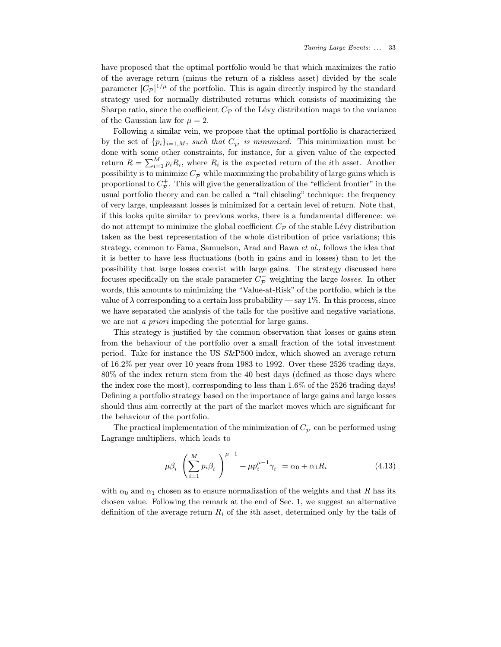have proposed that the optimal portfolio would be that which maximizes the ratio of the average return (minus the return of a riskless asset) divided by the scale parameter  $[C_{\mathcal{P}}]^{1/\mu}$  of the portfolio. This is again directly inspired by the standard strategy used for normally distributed returns which consists of maximizing the Sharpe ratio, since the coefficient  $C_{\mathcal{P}}$  of the Lévy distribution maps to the variance of the Gaussian law for  $\mu = 2$ .

Following a similar vein, we propose that the optimal portfolio is characterized by the set of  $\{p_i\}_{i=1,M}$ , such that  $C_{\mathcal{P}}^-$  is minimized. This minimization must be done with some other constraints, for instance, for a given value of the expected return  $R = \sum_{i=1}^{M} p_i R_i$ , where  $R_i$  is the expected return of the *i*th asset. Another possibility is to minimize  $C_{\mathcal{P}}^-$  while maximizing the probability of large gains which is proportional to  $C_{\mathcal{P}}^{+}$ . This will give the generalization of the "efficient frontier" in the usual portfolio theory and can be called a "tail chiseling" technique: the frequency of very large, unpleasant losses is minimized for a certain level of return. Note that, if this looks quite similar to previous works, there is a fundamental difference: we do not attempt to minimize the global coefficient  $C_{\mathcal{P}}$  of the stable Lévy distribution taken as the best representation of the whole distribution of price variations; this strategy, common to Fama, Samuelson, Arad and Bawa et al., follows the idea that it is better to have less fluctuations (both in gains and in losses) than to let the possibility that large losses coexist with large gains. The strategy discussed here focuses specifically on the scale parameter  $C_{\mathcal{P}}^-$  weighting the large *losses*. In other words, this amounts to minimizing the "Value-at-Risk" of the portfolio, which is the value of  $\lambda$  corresponding to a certain loss probability — say 1%. In this process, since we have separated the analysis of the tails for the positive and negative variations, we are not *a priori* impeding the potential for large gains.

This strategy is justified by the common observation that losses or gains stem from the behaviour of the portfolio over a small fraction of the total investment period. Take for instance the US S&P500 index, which showed an average return of 16.2% per year over 10 years from 1983 to 1992. Over these 2526 trading days, 80% of the index return stem from the 40 best days (defined as those days where the index rose the most), corresponding to less than 1.6% of the 2526 trading days! Defining a portfolio strategy based on the importance of large gains and large losses should thus aim correctly at the part of the market moves which are significant for the behaviour of the portfolio.

The practical implementation of the minimization of  $C_{\mathcal{P}}^-$  can be performed using Lagrange multipliers, which leads to

$$
\mu \beta_i^- \left( \sum_{i=1}^M p_i \beta_i^- \right)^{\mu - 1} + \mu p_i^{\mu - 1} \gamma_i^- = \alpha_0 + \alpha_1 R_i \tag{4.13}
$$

with  $\alpha_0$  and  $\alpha_1$  chosen as to ensure normalization of the weights and that R has its chosen value. Following the remark at the end of Sec. 1, we suggest an alternative definition of the average return  $R_i$  of the *i*th asset, determined only by the tails of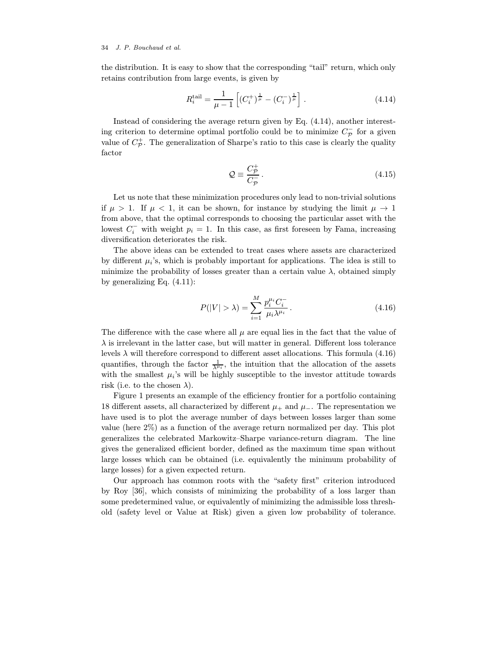the distribution. It is easy to show that the corresponding "tail" return, which only retains contribution from large events, is given by

$$
R_i^{\text{tail}} = \frac{1}{\mu - 1} \left[ (C_i^+)^{\frac{1}{\mu}} - (C_i^-)^{\frac{1}{\mu}} \right]. \tag{4.14}
$$

Instead of considering the average return given by Eq. (4.14), another interesting criterion to determine optimal portfolio could be to minimize  $C_{\mathcal{P}}^-$  for a given value of  $C_{\mathcal{P}}^{+}$ . The generalization of Sharpe's ratio to this case is clearly the quality factor

$$
\mathcal{Q} \equiv \frac{C_{\mathcal{P}}^{+}}{C_{\mathcal{P}}^{-}}.
$$
\n(4.15)

Let us note that these minimization procedures only lead to non-trivial solutions if  $\mu > 1$ . If  $\mu < 1$ , it can be shown, for instance by studying the limit  $\mu \to 1$ from above, that the optimal corresponds to choosing the particular asset with the lowest  $C_i^-$  with weight  $p_i = 1$ . In this case, as first foreseen by Fama, increasing diversification deteriorates the risk.

The above ideas can be extended to treat cases where assets are characterized by different  $\mu_i$ 's, which is probably important for applications. The idea is still to minimize the probability of losses greater than a certain value  $\lambda$ , obtained simply by generalizing Eq. (4.11):

$$
P(|V| > \lambda) = \sum_{i=1}^{M} \frac{p_i^{\mu_i} C_i^{-}}{\mu_i \lambda^{\mu_i}}.
$$
\n(4.16)

The difference with the case where all  $\mu$  are equal lies in the fact that the value of  $\lambda$  is irrelevant in the latter case, but will matter in general. Different loss tolerance levels  $\lambda$  will therefore correspond to different asset allocations. This formula (4.16) quantifies, through the factor  $\frac{1}{\lambda^{\mu_i}}$ , the intuition that the allocation of the assets with the smallest  $\mu_i$ 's will be highly susceptible to the investor attitude towards risk (i.e. to the chosen  $\lambda$ ).

Figure 1 presents an example of the efficiency frontier for a portfolio containing 18 different assets, all characterized by different  $\mu_+$  and  $\mu_-$ . The representation we have used is to plot the average number of days between losses larger than some value (here 2%) as a function of the average return normalized per day. This plot generalizes the celebrated Markowitz–Sharpe variance-return diagram. The line gives the generalized efficient border, defined as the maximum time span without large losses which can be obtained (i.e. equivalently the minimum probability of large losses) for a given expected return.

Our approach has common roots with the "safety first" criterion introduced by Roy [36], which consists of minimizing the probability of a loss larger than some predetermined value, or equivalently of minimizing the admissible loss threshold (safety level or Value at Risk) given a given low probability of tolerance.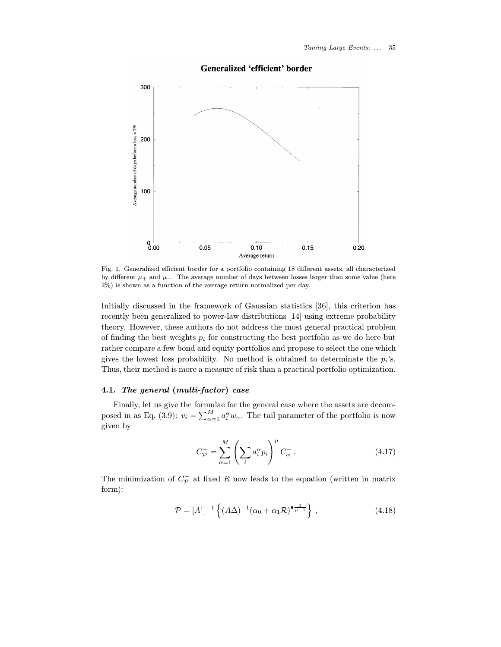# Generalized 'efficient' border



Fig. 1. Generalized efficient border for a portfolio containing 18 different assets, all characterized by different  $\mu_+$  and  $\mu_-$ . The average number of days between losses larger than some value (here 2%) is shown as a function of the average return normalized per day.

Initially discussed in the framework of Gaussian statistics [36], this criterion has recently been generalized to power-law distributions [14] using extreme probability theory. However, these authors do not address the most general practical problem of finding the best weights  $p_i$  for constructing the best portfolio as we do here but rather compare a few bond and equity portfolios and propose to select the one which gives the lowest loss probability. No method is obtained to determinate the  $p_i$ 's. Thus, their method is more a measure of risk than a practical portfolio optimization.

## 4.1. The general (multi-factor) case

Finally, let us give the formulae for the general case where the assets are decomposed in as Eq. (3.9):  $v_i = \sum_{\alpha=1}^{M} a_i^{\alpha} w_{\alpha}$ . The tail parameter of the portfolio is now given by

$$
C_{\mathcal{P}}^{-} = \sum_{\alpha=1}^{M} \left( \sum_{i} a_i^{\alpha} p_i \right)^{\mu} C_{\alpha}^{-} . \qquad (4.17)
$$

The minimization of  $C_{\mathcal{P}}^-$  at fixed R now leads to the equation (written in matrix form):

$$
\mathcal{P} = [A^{\dagger}]^{-1} \left\{ (A\Delta)^{-1} (\alpha_0 + \alpha_1 \mathcal{R})^{\bullet}^{\frac{1}{\mu - 1}} \right\},\tag{4.18}
$$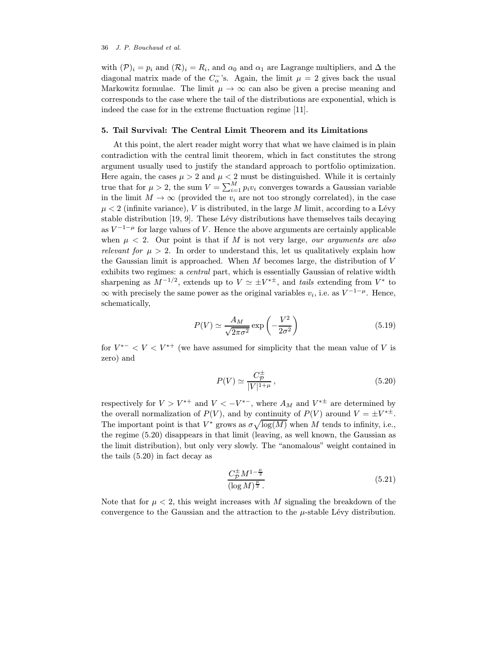with  $(\mathcal{P})_i = p_i$  and  $(\mathcal{R})_i = R_i$ , and  $\alpha_0$  and  $\alpha_1$  are Lagrange multipliers, and  $\Delta$  the diagonal matrix made of the  $C_{\alpha}^{-}$ 's. Again, the limit  $\mu = 2$  gives back the usual Markowitz formulae. The limit  $\mu \to \infty$  can also be given a precise meaning and corresponds to the case where the tail of the distributions are exponential, which is indeed the case for in the extreme fluctuation regime [11].

## 5. Tail Survival: The Central Limit Theorem and its Limitations

At this point, the alert reader might worry that what we have claimed is in plain contradiction with the central limit theorem, which in fact constitutes the strong argument usually used to justify the standard approach to portfolio optimization. Here again, the cases  $\mu > 2$  and  $\mu < 2$  must be distinguished. While it is certainly true that for  $\mu > 2$ , the sum  $V = \sum_{i=1}^{M} p_i v_i$  converges towards a Gaussian variable in the limit  $M \to \infty$  (provided the  $v_i$  are not too strongly correlated), in the case  $\mu < 2$  (infinite variance), V is distributed, in the large M limit, according to a Lévy stable distribution  $[19, 9]$ . These Lévy distributions have themselves tails decaying as  $V^{-1-\mu}$  for large values of V. Hence the above arguments are certainly applicable when  $\mu$  < 2. Our point is that if M is not very large, our arguments are also relevant for  $\mu > 2$ . In order to understand this, let us qualitatively explain how the Gaussian limit is approached. When  $M$  becomes large, the distribution of  $V$ exhibits two regimes: a central part, which is essentially Gaussian of relative width sharpening as  $M^{-1/2}$ , extends up to  $V \simeq \pm V^{*\pm}$ , and tails extending from  $V^*$  to  $\infty$  with precisely the same power as the original variables  $v_i$ , i.e. as  $V^{-1-\mu}$ . Hence, schematically,

$$
P(V) \simeq \frac{A_M}{\sqrt{2\pi\sigma^2}} \exp\left(-\frac{V^2}{2\sigma^2}\right) \tag{5.19}
$$

for  $V^{*-} < V < V^{*+}$  (we have assumed for simplicity that the mean value of V is zero) and

$$
P(V) \simeq \frac{C_{\mathcal{P}}^{\pm}}{|V|^{1+\mu}},\tag{5.20}
$$

respectively for  $V > V^{*+}$  and  $V < -V^{*-}$ , where  $A_M$  and  $V^{*\pm}$  are determined by the overall normalization of  $P(V)$ , and by continuity of  $P(V)$  around  $V = \pm V^{*\pm}$ . The important point is that  $V^*$  grows as  $\sigma \sqrt{\log(M)}$  when M tends to infinity, i.e., the regime (5.20) disappears in that limit (leaving, as well known, the Gaussian as the limit distribution), but only very slowly. The "anomalous" weight contained in the tails (5.20) in fact decay as

$$
\frac{C_{\mathcal{P}}^{\pm} M^{1-\frac{\mu}{2}}}{(\log M)^{\frac{\mu}{2}}}.
$$
\n(5.21)

Note that for  $\mu < 2$ , this weight increases with M signaling the breakdown of the convergence to the Gaussian and the attraction to the  $\mu$ -stable Lévy distribution.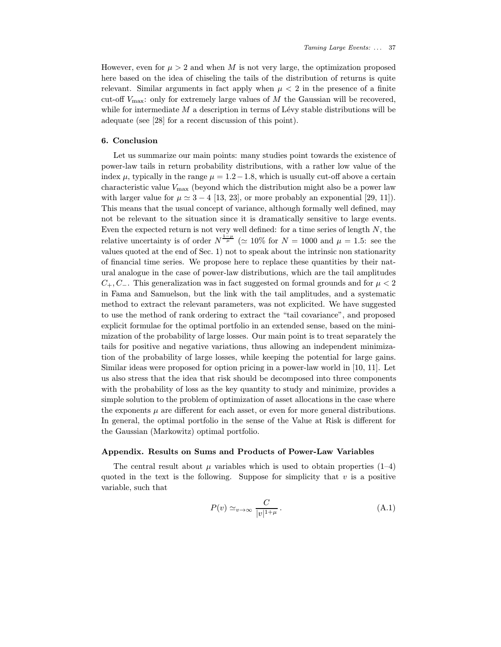However, even for  $\mu > 2$  and when M is not very large, the optimization proposed here based on the idea of chiseling the tails of the distribution of returns is quite relevant. Similar arguments in fact apply when  $\mu < 2$  in the presence of a finite cut-off  $V_{\text{max}}$ : only for extremely large values of  $M$  the Gaussian will be recovered, while for intermediate  $M$  a description in terms of Lévy stable distributions will be adequate (see [28] for a recent discussion of this point).

## 6. Conclusion

Let us summarize our main points: many studies point towards the existence of power-law tails in return probability distributions, with a rather low value of the index  $\mu$ , typically in the range  $\mu = 1.2 - 1.8$ , which is usually cut-off above a certain characteristic value  $V_{\text{max}}$  (beyond which the distribution might also be a power law with larger value for  $\mu \approx 3 - 4$  [13, 23], or more probably an exponential [29, 11]). This means that the usual concept of variance, although formally well defined, may not be relevant to the situation since it is dramatically sensitive to large events. Even the expected return is not very well defined: for a time series of length  $N$ , the relative uncertainty is of order  $N^{\frac{1-\mu}{\mu}}$  ( $\simeq 10\%$  for  $N = 1000$  and  $\mu = 1.5$ : see the values quoted at the end of Sec. 1) not to speak about the intrinsic non stationarity of financial time series. We propose here to replace these quantities by their natural analogue in the case of power-law distributions, which are the tail amplitudes  $C_+, C_-.$  This generalization was in fact suggested on formal grounds and for  $\mu < 2$ in Fama and Samuelson, but the link with the tail amplitudes, and a systematic method to extract the relevant parameters, was not explicited. We have suggested to use the method of rank ordering to extract the "tail covariance", and proposed explicit formulae for the optimal portfolio in an extended sense, based on the minimization of the probability of large losses. Our main point is to treat separately the tails for positive and negative variations, thus allowing an independent minimization of the probability of large losses, while keeping the potential for large gains. Similar ideas were proposed for option pricing in a power-law world in [10, 11]. Let us also stress that the idea that risk should be decomposed into three components with the probability of loss as the key quantity to study and minimize, provides a simple solution to the problem of optimization of asset allocations in the case where the exponents  $\mu$  are different for each asset, or even for more general distributions. In general, the optimal portfolio in the sense of the Value at Risk is different for the Gaussian (Markowitz) optimal portfolio.

#### Appendix. Results on Sums and Products of Power-Law Variables

The central result about  $\mu$  variables which is used to obtain properties (1–4) quoted in the text is the following. Suppose for simplicity that  $v$  is a positive variable, such that

$$
P(v) \simeq_{v \to \infty} \frac{C}{|v|^{1+\mu}}.
$$
\n(A.1)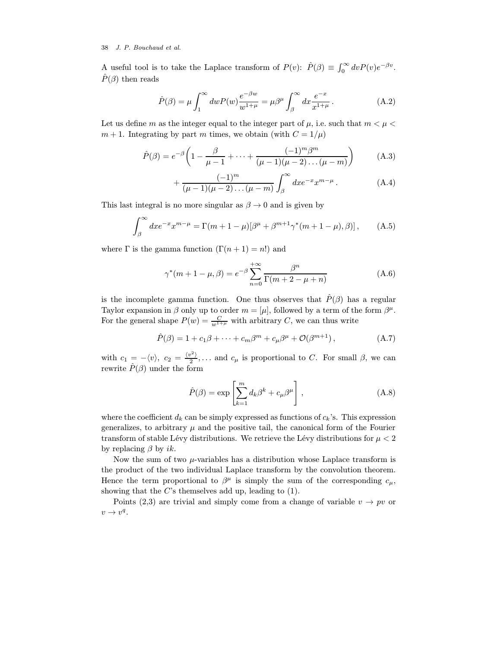A useful tool is to take the Laplace transform of  $P(v)$ :  $\hat{P}(\beta) \equiv \int_0^\infty dv P(v) e^{-\beta v}$ .  $\hat{P}(\beta)$  then reads

$$
\hat{P}(\beta) = \mu \int_1^{\infty} dw P(w) \frac{e^{-\beta w}}{w^{1+\mu}} = \mu \beta^{\mu} \int_{\beta}^{\infty} dx \frac{e^{-x}}{x^{1+\mu}}.
$$
\n(A.2)

Let us define m as the integer equal to the integer part of  $\mu$ , i.e. such that  $m < \mu <$  $m + 1$ . Integrating by part m times, we obtain (with  $C = 1/\mu$ )

$$
\hat{P}(\beta) = e^{-\beta} \left( 1 - \frac{\beta}{\mu - 1} + \dots + \frac{(-1)^m \beta^m}{(\mu - 1)(\mu - 2) \dots (\mu - m)} \right) \tag{A.3}
$$

+ 
$$
\frac{(-1)^m}{(\mu - 1)(\mu - 2)...(\mu - m)} \int_{\beta}^{\infty} dx e^{-x} x^{m-\mu}
$$
. (A.4)

This last integral is no more singular as  $\beta \rightarrow 0$  and is given by

$$
\int_{\beta}^{\infty} dx e^{-x} x^{m-\mu} = \Gamma(m+1-\mu)[\beta^{\mu} + \beta^{m+1} \gamma^*(m+1-\mu), \beta)], \quad (A.5)
$$

where  $\Gamma$  is the gamma function  $(\Gamma(n+1) = n!)$  and

$$
\gamma^*(m+1-\mu, \beta) = e^{-\beta} \sum_{n=0}^{+\infty} \frac{\beta^n}{\Gamma(m+2-\mu+n)}
$$
(A.6)

is the incomplete gamma function. One thus observes that  $\hat{P}(\beta)$  has a regular Taylor expansion in  $\beta$  only up to order  $m = [\mu]$ , followed by a term of the form  $\beta^{\mu}$ . For the general shape  $P(w) = \frac{C}{w^{1+\mu}}$  with arbitrary C, we can thus write

$$
\hat{P}(\beta) = 1 + c_1 \beta + \dots + c_m \beta^m + c_\mu \beta^\mu + \mathcal{O}(\beta^{m+1}), \tag{A.7}
$$

with  $c_1 = -\langle v \rangle$ ,  $c_2 = \frac{\langle v^2 \rangle}{2}$ ,... and  $c_\mu$  is proportional to C. For small  $\beta$ , we can rewrite  $\hat{P}(\beta)$  under the form

$$
\hat{P}(\beta) = \exp\left[\sum_{k=1}^{m} d_k \beta^k + c_{\mu} \beta^{\mu}\right],
$$
\n(A.8)

where the coefficient  $d_k$  can be simply expressed as functions of  $c_k$ 's. This expression generalizes, to arbitrary  $\mu$  and the positive tail, the canonical form of the Fourier transform of stable Lévy distributions. We retrieve the Lévy distributions for  $\mu < 2$ by replacing  $\beta$  by *ik*.

Now the sum of two  $\mu$ -variables has a distribution whose Laplace transform is the product of the two individual Laplace transform by the convolution theorem. Hence the term proportional to  $\beta^{\mu}$  is simply the sum of the corresponding  $c_{\mu}$ , showing that the  $C$ 's themselves add up, leading to  $(1)$ .

Points (2,3) are trivial and simply come from a change of variable  $v \to pv$  or  $v \rightarrow v^q$ .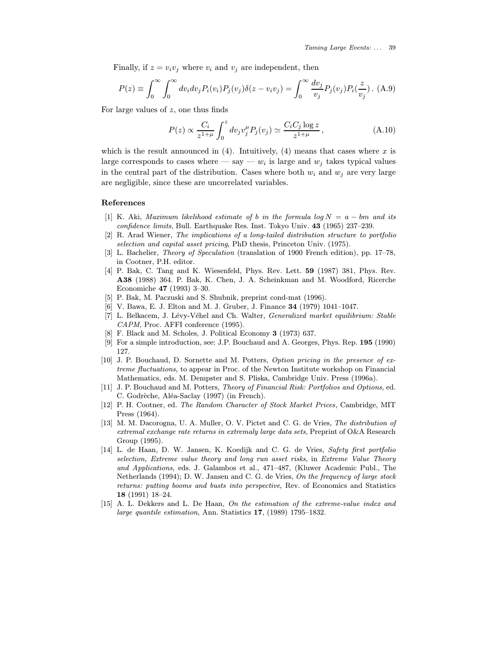Finally, if  $z = v_i v_j$  where  $v_i$  and  $v_j$  are independent, then

$$
P(z) \equiv \int_0^\infty \int_0^\infty dv_i dv_j P_i(v_i) P_j(v_j) \delta(z - v_i v_j) = \int_0^\infty \frac{dv_j}{v_j} P_j(v_j) P_i(\frac{z}{v_j}).
$$
 (A.9)

For large values of z, one thus finds

$$
P(z) \propto \frac{C_i}{z^{1+\mu}} \int_0^z dv_j v_j^{\mu} P_j(v_j) \simeq \frac{C_i C_j \log z}{z^{1+\mu}}, \qquad (A.10)
$$

which is the result announced in  $(4)$ . Intuitively,  $(4)$  means that cases where x is large corresponds to cases where — say —  $w_i$  is large and  $w_j$  takes typical values in the central part of the distribution. Cases where both  $w_i$  and  $w_j$  are very large are negligible, since these are uncorrelated variables.

# References

- [1] K. Aki, Maximum likelihood estimate of b in the formula log  $N = a bm$  and its confidence limits, Bull. Earthquake Res. Inst. Tokyo Univ. 43 (1965) 237–239.
- [2] R. Arad Wiener, The implications of a long-tailed distribution structure to portfolio selection and capital asset pricing, PhD thesis, Princeton Univ. (1975).
- [3] L. Bachelier, Theory of Speculation (translation of 1900 French edition), pp. 17–78, in Cootner, P.H. editor.
- [4] P. Bak, C. Tang and K. Wiesenfeld, Phys. Rev. Lett. **59** (1987) 381, Phys. Rev. A38 (1988) 364. P. Bak, K. Chen, J. A. Scheinkman and M. Woodford, Ricerche Economiche 47 (1993) 3–30.
- [5] P. Bak, M. Paczuski and S. Shubnik, preprint cond-mat (1996).
- [6] V. Bawa, E. J. Elton and M. J. Gruber, J. Finance 34 (1979) 1041–1047.
- [7] L. Belkacem, J. Lévy-Véhel and Ch. Walter, Generalized market equilibrium: Stable CAPM, Proc. AFFI conference (1995).
- [8] F. Black and M. Scholes, J. Political Economy 3 (1973) 637.
- [9] For a simple introduction, see: J.P. Bouchaud and A. Georges, Phys. Rep. 195 (1990) 127.
- [10] J. P. Bouchaud, D. Sornette and M. Potters, Option pricing in the presence of extreme fluctuations, to appear in Proc. of the Newton Institute workshop on Financial Mathematics, eds. M. Dempster and S. Pliska, Cambridge Univ. Press (1996a).
- [11] J. P. Bouchaud and M. Potters, Theory of Financial Risk: Portfolios and Options, ed. C. Godrèche, Aléa-Saclay (1997) (in French).
- [12] P. H. Cootner, ed. The Random Character of Stock Market Prices, Cambridge, MIT Press (1964).
- [13] M. M. Dacorogna, U. A. Muller, O. V. Pictet and C. G. de Vries, The distribution of extremal exchange rate returns in extremaly large data sets, Preprint of O&A Research Group (1995).
- [14] L. de Haan, D. W. Jansen, K. Koedijk and C. G. de Vries, Safety first portfolio selection, Extreme value theory and long run asset risks, in Extreme Value Theory and Applications, eds. J. Galambos et al., 471–487, (Kluwer Academic Publ., The Netherlands (1994); D. W. Jansen and C. G. de Vries, On the frequency of large stock returns: putting booms and busts into perspective, Rev. of Economics and Statistics 18 (1991) 18–24.
- [15] A. L. Dekkers and L. De Haan, On the estimation of the extreme-value index and large quantile estimation, Ann. Statistics 17, (1989) 1795–1832.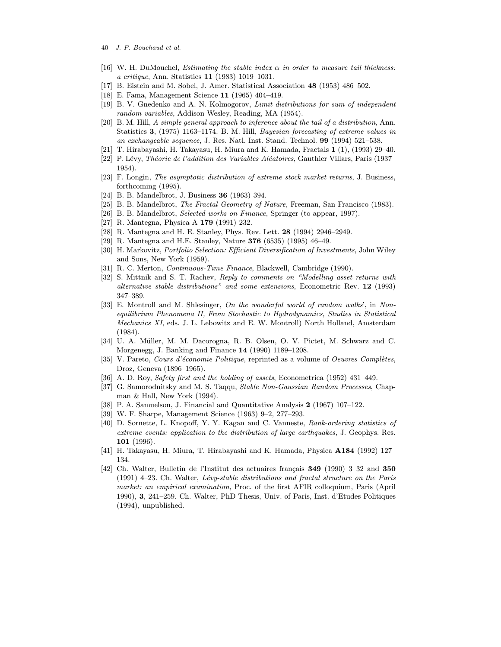- 40 J. P. Bouchaud et al.
- [16] W. H. DuMouchel, *Estimating the stable index*  $\alpha$  *in order to measure tail thickness:* a critique, Ann. Statistics 11 (1983) 1019–1031.
- [17] B. Eistein and M. Sobel, J. Amer. Statistical Association 48 (1953) 486–502.
- [18] E. Fama, Management Science 11 (1965) 404–419.
- [19] B. V. Gnedenko and A. N. Kolmogorov, Limit distributions for sum of independent random variables, Addison Wesley, Reading, MA (1954).
- [20] B. M. Hill, A simple general approach to inference about the tail of a distribution, Ann. Statistics 3, (1975) 1163–1174. B. M. Hill, Bayesian forecasting of extreme values in an exchangeable sequence, J. Res. Natl. Inst. Stand. Technol. 99 (1994) 521–538.
- [21] T. Hirabayashi, H. Takayasu, H. Miura and K. Hamada, Fractals 1 (1), (1993) 29–40.
- [22] P. Lévy, Théorie de l'addition des Variables Aléatoires, Gauthier Villars, Paris (1937– 1954).
- [23] F. Longin, The asymptotic distribution of extreme stock market returns, J. Business, forthcoming (1995).
- [24] B. B. Mandelbrot, J. Business 36 (1963) 394.
- [25] B. B. Mandelbrot, The Fractal Geometry of Nature, Freeman, San Francisco (1983).
- [26] B. B. Mandelbrot, Selected works on Finance, Springer (to appear, 1997).
- [27] R. Mantegna, Physica A 179 (1991) 232.
- [28] R. Mantegna and H. E. Stanley, Phys. Rev. Lett. 28 (1994) 2946–2949.
- [29] R. Mantegna and H.E. Stanley, Nature 376 (6535) (1995) 46–49.
- [30] H. Markovitz, Portfolio Selection: Efficient Diversification of Investments, John Wiley and Sons, New York (1959).
- [31] R. C. Merton, Continuous-Time Finance, Blackwell, Cambridge (1990).
- [32] S. Mittnik and S. T. Rachev, Reply to comments on "Modelling asset returns with alternative stable distributions" and some extensions, Econometric Rev. 12 (1993) 347–389.
- [33] E. Montroll and M. Shlesinger, On the wonderful world of random walks', in Nonequilibrium Phenomena II, From Stochastic to Hydrodynamics, Studies in Statistical Mechanics XI, eds. J. L. Lebowitz and E. W. Montroll) North Holland, Amsterdam (1984).
- [34] U. A. Müller, M. M. Dacorogna, R. B. Olsen, O. V. Pictet, M. Schwarz and C. Morgenegg, J. Banking and Finance 14 (1990) 1189–1208.
- [35] V. Pareto, Cours d'économie Politique, reprinted as a volume of Oeuvres Complètes, Droz, Geneva (1896–1965).
- [36] A. D. Roy, Safety first and the holding of assets, Econometrica (1952) 431–449.
- [37] G. Samorodnitsky and M. S. Taqqu, Stable Non-Gaussian Random Processes, Chapman & Hall, New York (1994).
- [38] P. A. Samuelson, J. Financial and Quantitative Analysis 2 (1967) 107–122.
- [39] W. F. Sharpe, Management Science (1963) 9–2, 277–293.
- [40] D. Sornette, L. Knopoff, Y. Y. Kagan and C. Vanneste, Rank-ordering statistics of extreme events: application to the distribution of large earthquakes, J. Geophys. Res. 101 (1996).
- [41] H. Takayasu, H. Miura, T. Hirabayashi and K. Hamada, Physica A184 (1992) 127– 134.
- $[42]$  Ch. Walter, Bulletin de l'Institut des actuaires français 349 (1990) 3–32 and 350  $(1991)$  4–23. Ch. Walter, Lévy-stable distributions and fractal structure on the Paris market: an empirical examination, Proc. of the first AFIR colloquium, Paris (April 1990), 3, 241–259. Ch. Walter, PhD Thesis, Univ. of Paris, Inst. d'Etudes Politiques (1994), unpublished.